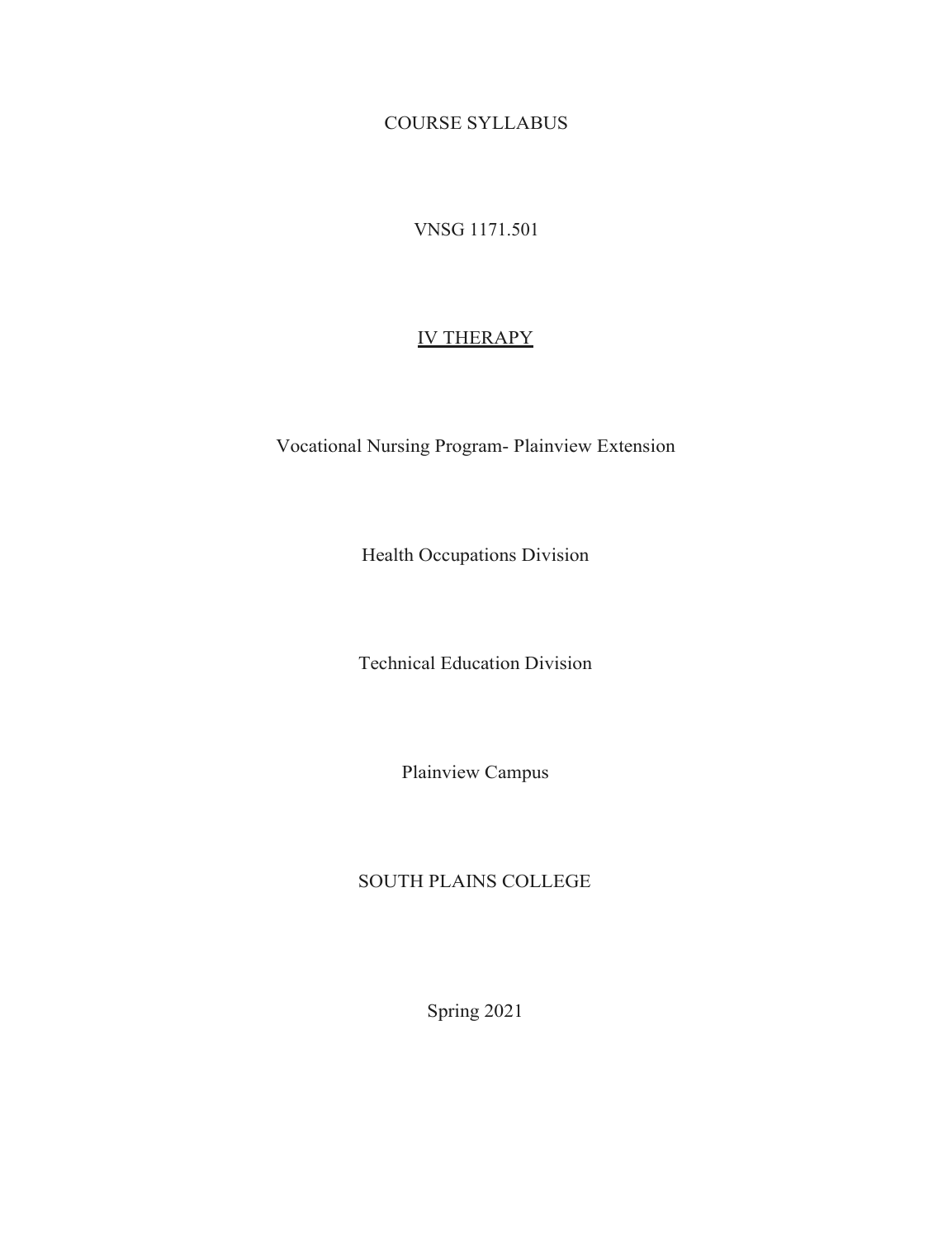COURSE SYLLABUS

VNSG 1171.501

# IV THERAPY

Vocational Nursing Program- Plainview Extension

Health Occupations Division

Technical Education Division

Plainview Campus

# SOUTH PLAINS COLLEGE

Spring 2021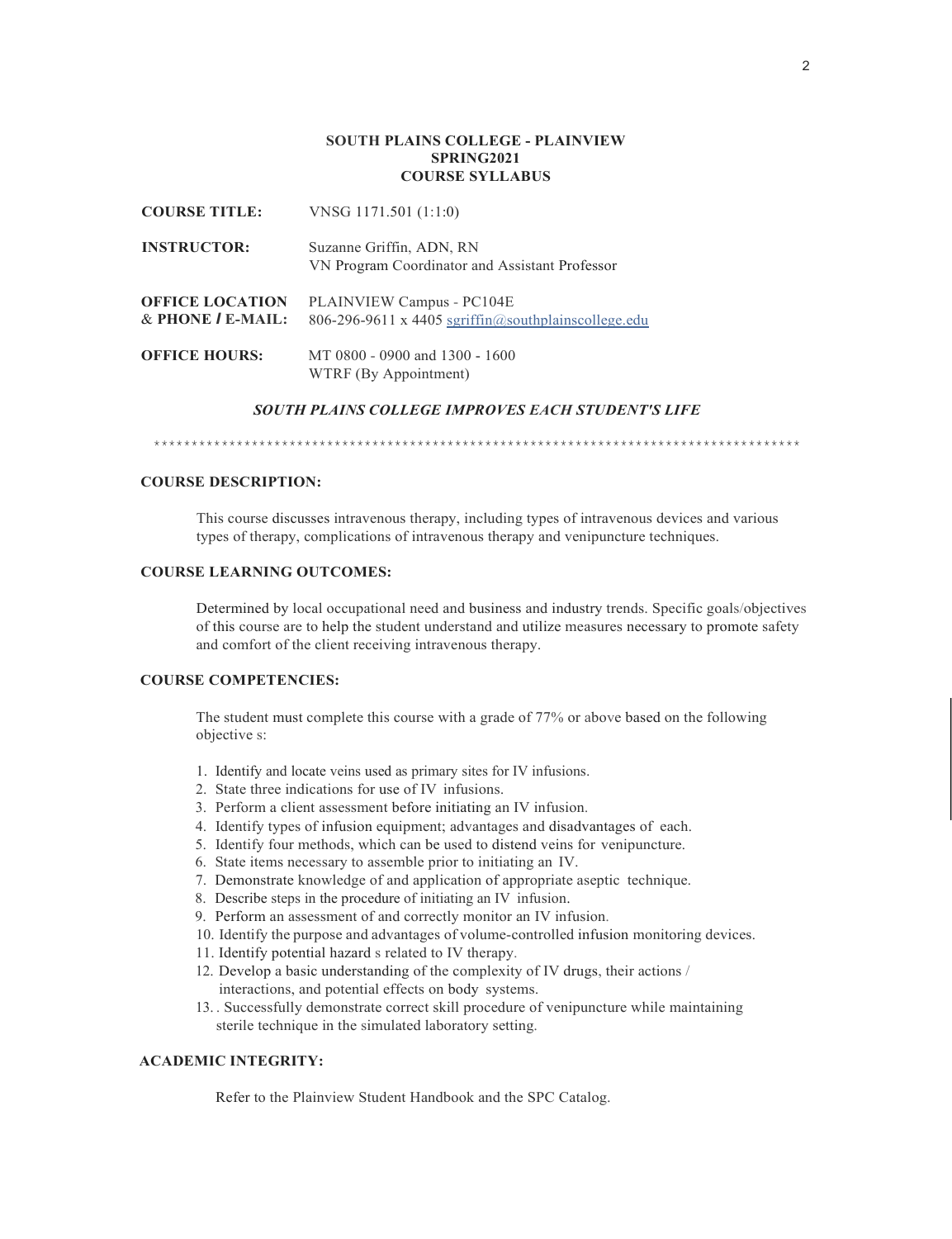### **SOUTH PLAINS COLLEGE - PLAINVIEW SPRING2021 COURSE SYLLABUS**

| <b>COURSE TITLE:</b>                                 | VNSG $1171.501(1:1:0)$                                                           |
|------------------------------------------------------|----------------------------------------------------------------------------------|
| <b>INSTRUCTOR:</b>                                   | Suzanne Griffin, ADN, RN<br>VN Program Coordinator and Assistant Professor       |
| <b>OFFICE LOCATION</b><br>$&$ PHONE $\prime$ E-MAIL: | PLAINVIEW Campus - PC104E<br>806-296-9611 x 4405 sgriffin@southplainscollege.edu |
| <b>OFFICE HOURS:</b>                                 | MT 0800 - 0900 and 1300 - 1600<br>WTRF (By Appointment)                          |

VNSG 1171.501 (1:1:0)

### *SOUTH PLAINS COLLEGE IMPROVES EACH STUDENT'S LIFE*

\*\*\*\*\*\*\*\*\*\*\*\*\*\*\*\*\*\*\*\*\*\*\*\*\*\*\*\*\*\*\*\*\*\*\*\*\*\*\*\*\*\*\*\*\*\*\*\*\*\*\*\*\*\*\*\*\*\*\*\*\*\*\*\*\*\*\*\*\*\*\*\*\*\*\*\*\*\*\*\*\*\*\*\*\*\*

## **COURSE DESCRIPTION:**

This course discusses intravenous therapy, including types of intravenous devices and various types of therapy, complications of intravenous therapy and venipuncture techniques.

### **COURSE LEARNING OUTCOMES:**

Determined by local occupational need and business and industry trends. Specific goals/objectives of this course are to help the student understand and utilize measures necessary to promote safety and comfort of the client receiving intravenous therapy.

### **COURSE COMPETENCIES:**

The student must complete this course with a grade of 77% or above based on the following objective s:

- 1. Identify and locate veins used as primary sites for IV infusions.
- 2. State three indications for use of IV infusions.
- 3. Perform a client assessment before initiating an IV infusion.
- 4. Identify types of infusion equipment; advantages and disadvantages of each.
- 5. Identify four methods, which can be used to distend veins for venipuncture.
- 6. State items necessary to assemble prior to initiating an IV.
- 7. Demonstrate knowledge of and application of appropriate aseptic technique.
- 8. Describe steps in the procedure of initiating an IV infusion.
- 9. Perform an assessment of and correctly monitor an IV infusion.
- 10. Identify the purpose and advantages of volume-controlled infusion monitoring devices.
- 11. Identify potential hazard s related to IV therapy.
- 12. Develop a basic understanding of the complexity of IV drugs, their actions / interactions, and potential effects on body systems.
- 13. . Successfully demonstrate correct skill procedure of venipuncture while maintaining sterile technique in the simulated laboratory setting.

### **ACADEMIC INTEGRITY:**

Refer to the Plainview Student Handbook and the SPC Catalog.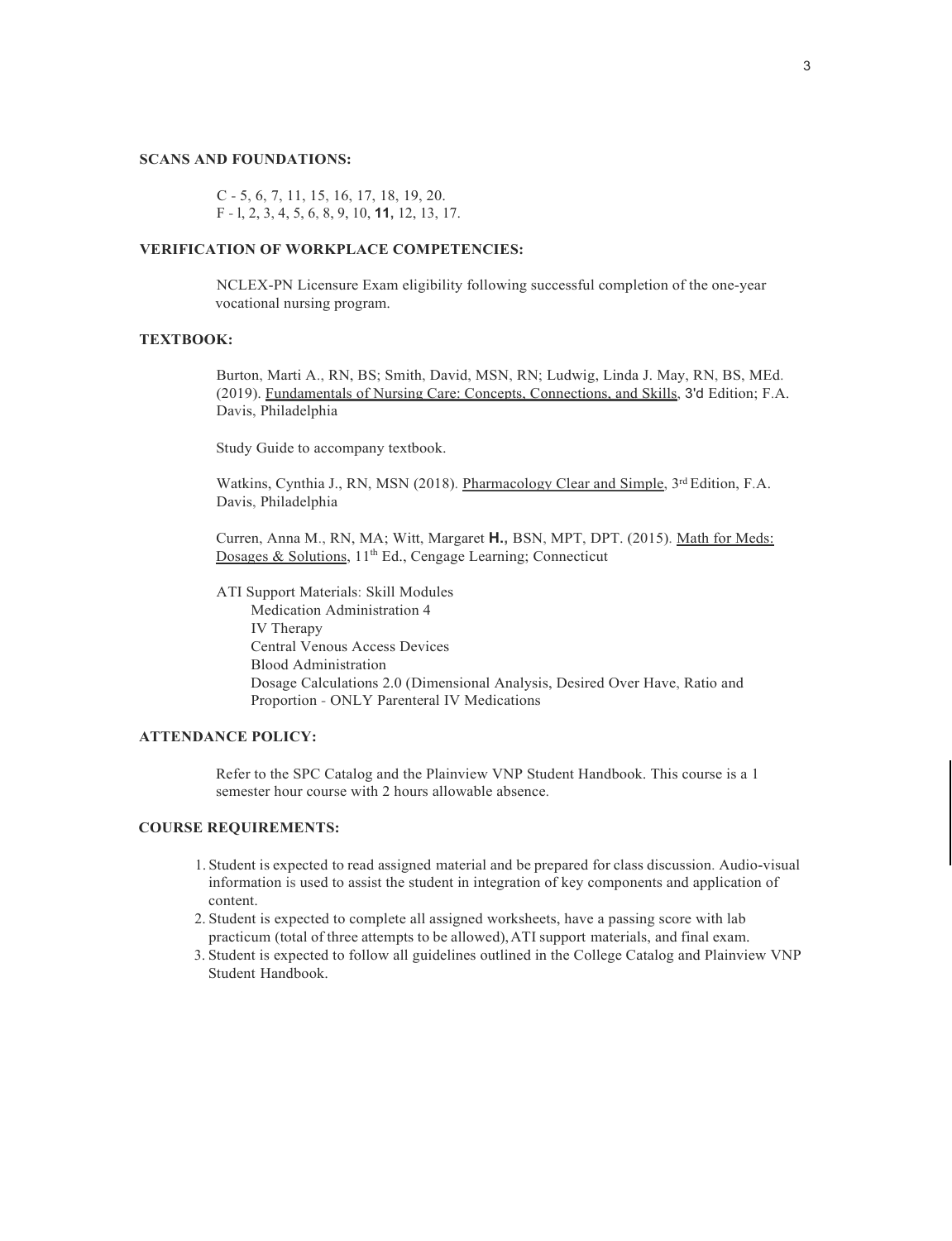### **SCANS AND FOUNDATIONS:**

C - 5, 6, 7, 11, 15, 16, 17, 18, 19, 20. F - l, 2, 3, 4, 5, 6, 8, 9, 10, **11,** 12, 13, 17.

### **VERIFICATION OF WORKPLACE COMPETENCIES:**

NCLEX-PN Licensure Exam eligibility following successful completion of the one-year vocational nursing program.

### **TEXTBOOK:**

Burton, Marti A., RN, BS; Smith, David, MSN, RN; Ludwig, Linda J. May, RN, BS, MEd. (2019). Fundamentals of Nursing Care: Concepts, Connections, and Skills, 3'd Edition; F.A. Davis, Philadelphia

Study Guide to accompany textbook.

Watkins, Cynthia J., RN, MSN (2018). Pharmacology Clear and Simple, 3<sup>rd</sup> Edition, F.A. Davis, Philadelphia

Curren, Anna M., RN, MA; Witt, Margaret **H.,** BSN, MPT, DPT. (2015). Math for Meds: Dosages & Solutions, 11<sup>th</sup> Ed., Cengage Learning; Connecticut

ATI Support Materials: Skill Modules Medication Administration 4 IV Therapy Central Venous Access Devices Blood Administration Dosage Calculations 2.0 (Dimensional Analysis, Desired Over Have, Ratio and Proportion - ONLY Parenteral IV Medications

## **ATTENDANCE POLICY:**

Refer to the SPC Catalog and the Plainview VNP Student Handbook. This course is a 1 semester hour course with 2 hours allowable absence.

### **COURSE REQUIREMENTS:**

- 1. Student is expected to read assigned material and be prepared for class discussion. Audio-visual information is used to assist the student in integration of key components and application of content.
- 2. Student is expected to complete all assigned worksheets, have a passing score with lab practicum (total of three attempts to be allowed),ATI support materials, and final exam.
- 3. Student is expected to follow all guidelines outlined in the College Catalog and Plainview VNP Student Handbook.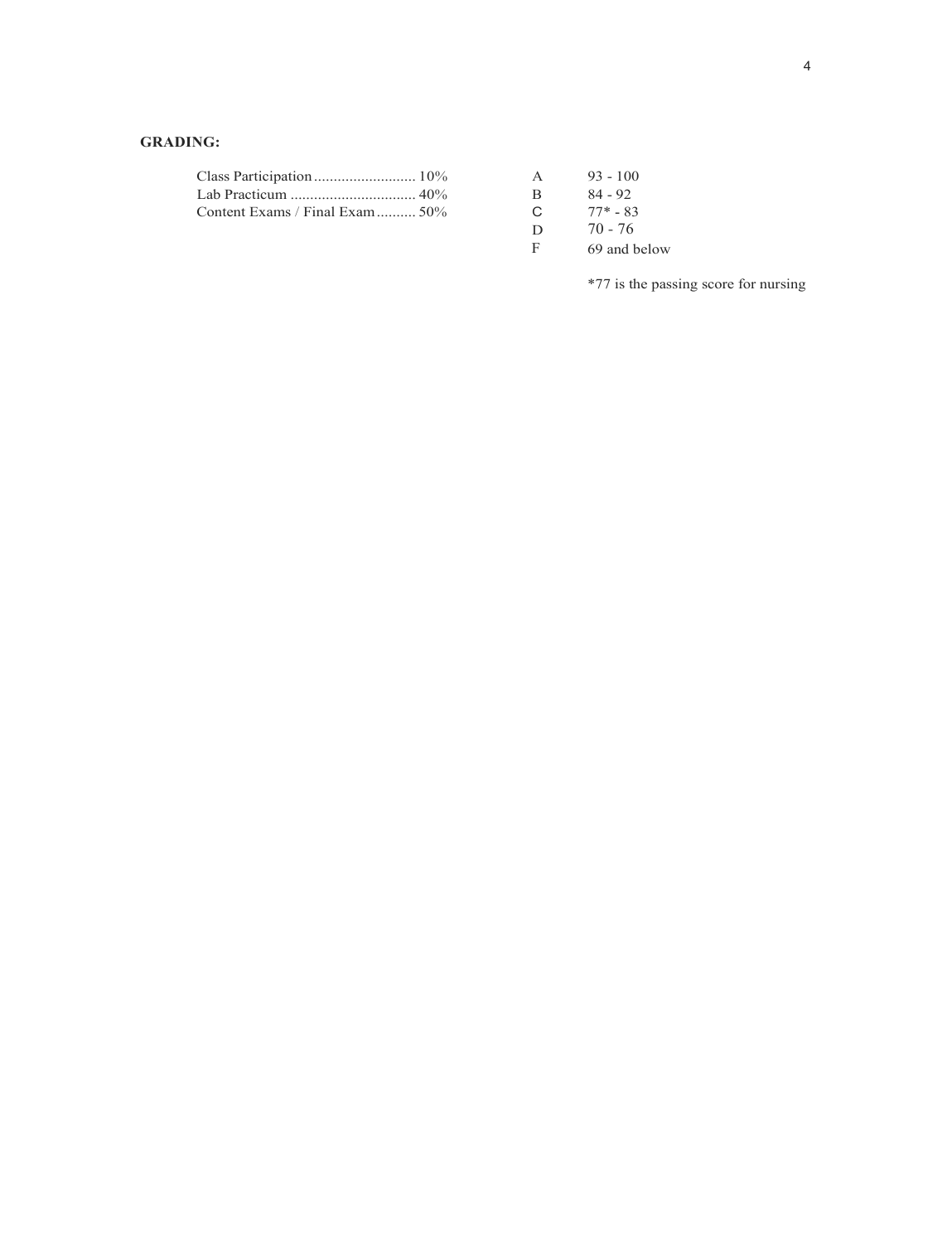# **GRADING:**

|                                 |              | $93 - 100$ |
|---------------------------------|--------------|------------|
|                                 | $\mathbf{B}$ | 84 - 92    |
| Content Exams / Final Exam  50% | C $77* - 83$ |            |

| A | $93 - 100$   |
|---|--------------|
| B | $84 - 92$    |
| C | $77* - 83$   |
| D | $70 - 76$    |
| F | 69 and below |

\*77 is the passing score for nursing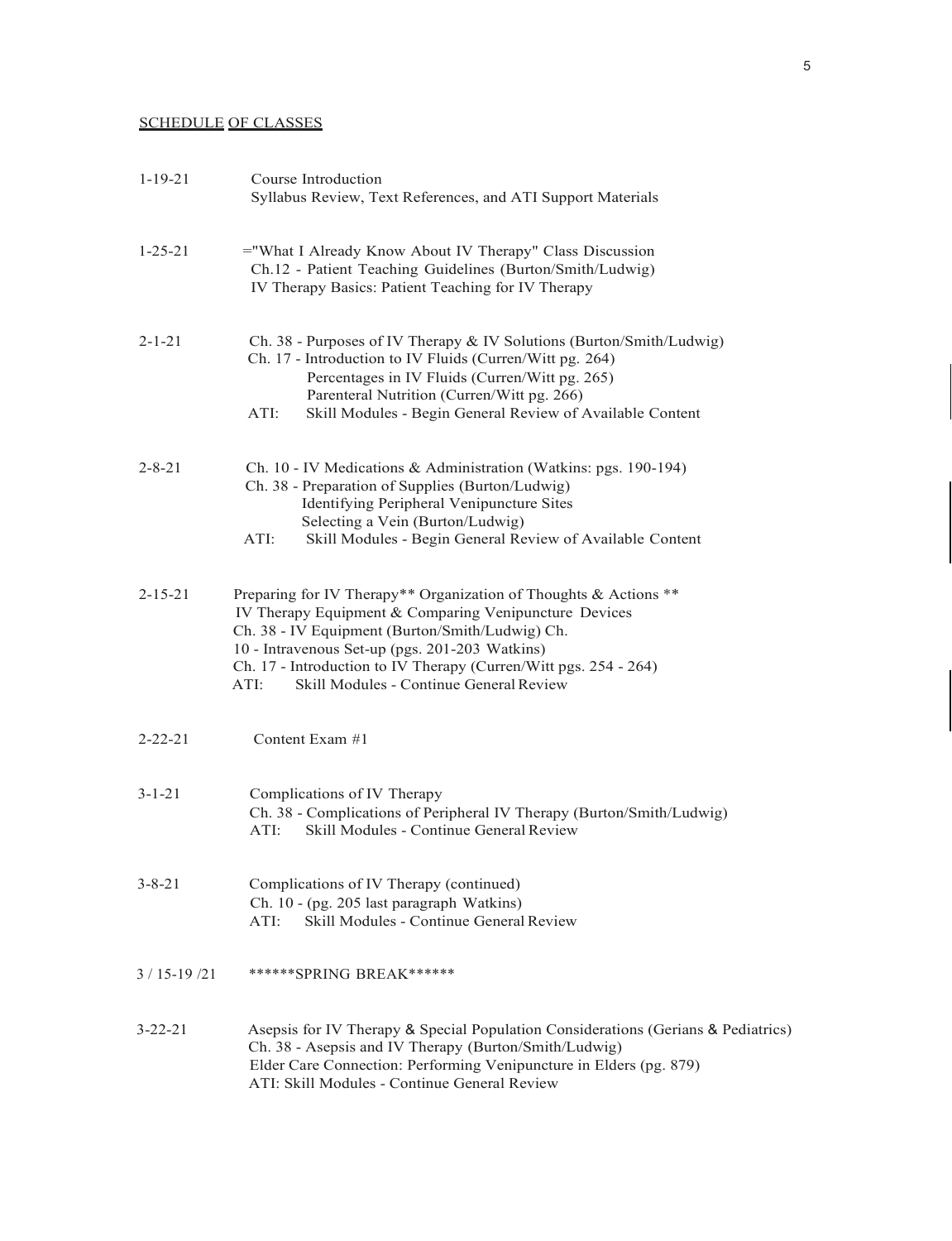# SCHEDULE OF CLASSES

| $1 - 19 - 21$ | Course Introduction<br>Syllabus Review, Text References, and ATI Support Materials                                                                                                                                                                                                                                                                    |
|---------------|-------------------------------------------------------------------------------------------------------------------------------------------------------------------------------------------------------------------------------------------------------------------------------------------------------------------------------------------------------|
| $1 - 25 - 21$ | ="What I Already Know About IV Therapy" Class Discussion<br>Ch.12 - Patient Teaching Guidelines (Burton/Smith/Ludwig)<br>IV Therapy Basics: Patient Teaching for IV Therapy                                                                                                                                                                           |
| $2 - 1 - 21$  | Ch. 38 - Purposes of IV Therapy & IV Solutions (Burton/Smith/Ludwig)<br>Ch. 17 - Introduction to IV Fluids (Curren/Witt pg. 264)<br>Percentages in IV Fluids (Curren/Witt pg. 265)<br>Parenteral Nutrition (Curren/Witt pg. 266)<br>Skill Modules - Begin General Review of Available Content<br>ATI:                                                 |
| $2 - 8 - 21$  | Ch. 10 - IV Medications & Administration (Watkins: pgs. 190-194)<br>Ch. 38 - Preparation of Supplies (Burton/Ludwig)<br>Identifying Peripheral Venipuncture Sites<br>Selecting a Vein (Burton/Ludwig)<br>Skill Modules - Begin General Review of Available Content<br>ATI:                                                                            |
| $2 - 15 - 21$ | Preparing for IV Therapy** Organization of Thoughts & Actions **<br>IV Therapy Equipment & Comparing Venipuncture Devices<br>Ch. 38 - IV Equipment (Burton/Smith/Ludwig) Ch.<br>10 - Intravenous Set-up (pgs. 201-203 Watkins)<br>Ch. 17 - Introduction to IV Therapy (Curren/Witt pgs. 254 - 264)<br>Skill Modules - Continue General Review<br>ATI: |
| $2 - 22 - 21$ | Content Exam #1                                                                                                                                                                                                                                                                                                                                       |
| $3 - 1 - 21$  | Complications of IV Therapy<br>Ch. 38 - Complications of Peripheral IV Therapy (Burton/Smith/Ludwig)<br>Skill Modules - Continue General Review<br>ATI:                                                                                                                                                                                               |
| $3 - 8 - 21$  | Complications of IV Therapy (continued)<br>Ch. 10 - (pg. 205 last paragraph Watkins)<br>Skill Modules - Continue General Review<br>ATI:                                                                                                                                                                                                               |
| 3 / 15-19 /21 | ******SPRING BREAK******                                                                                                                                                                                                                                                                                                                              |
| 3-22-21       | Asepsis for IV Therapy & Special Population Considerations (Gerians & Pediatrics)<br>Ch. 38 - Asepsis and IV Therapy (Burton/Smith/Ludwig)<br>Elder Care Connection: Performing Venipuncture in Elders (pg. 879)<br>ATI: Skill Modules - Continue General Review                                                                                      |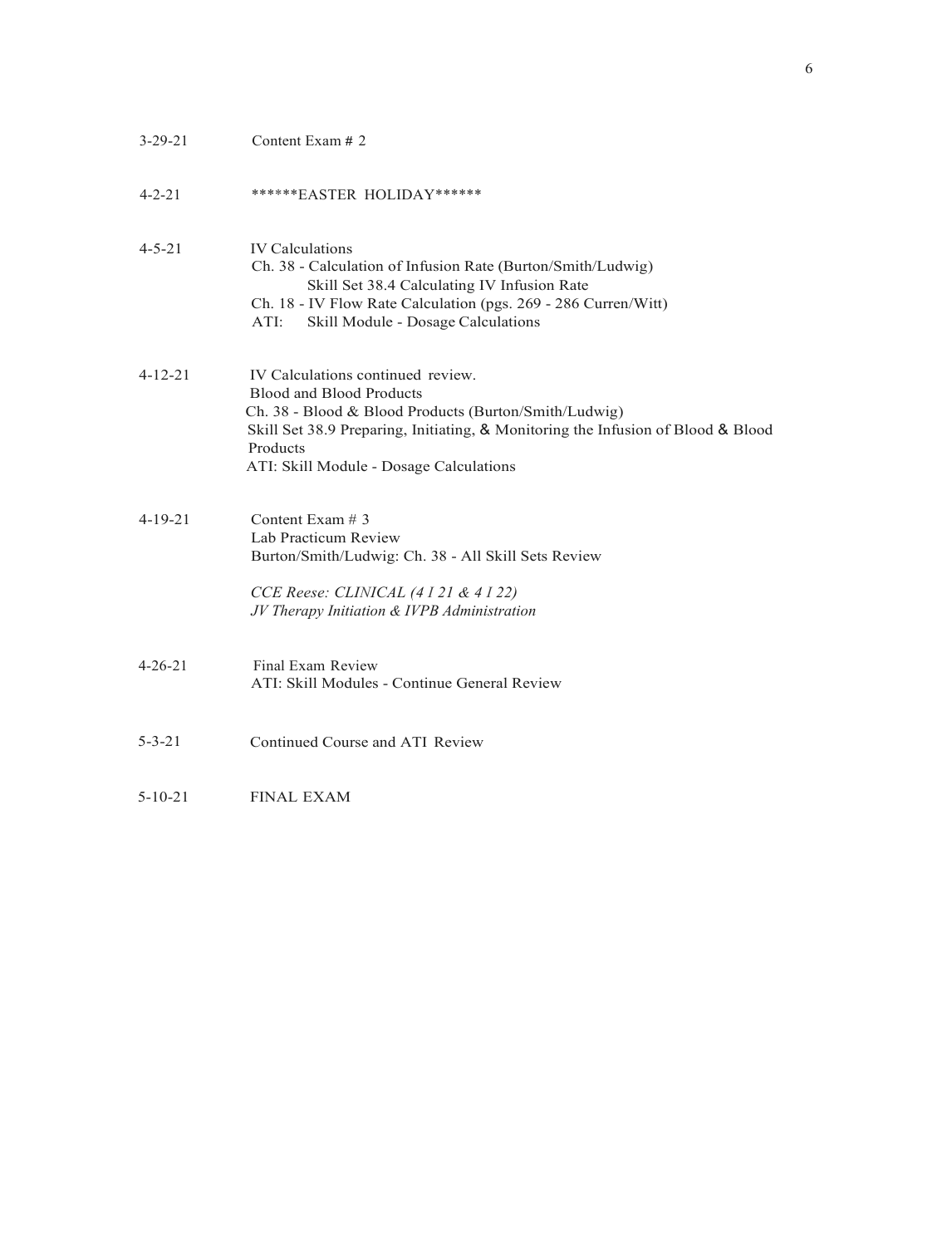| $3 - 29 - 21$ | Content Exam # 2                                                                                                                                                                                                                                                         |
|---------------|--------------------------------------------------------------------------------------------------------------------------------------------------------------------------------------------------------------------------------------------------------------------------|
| $4 - 2 - 21$  | *******EASTER HOLIDAY******                                                                                                                                                                                                                                              |
| $4 - 5 - 21$  | <b>IV</b> Calculations<br>Ch. 38 - Calculation of Infusion Rate (Burton/Smith/Ludwig)<br>Skill Set 38.4 Calculating IV Infusion Rate<br>Ch. 18 - IV Flow Rate Calculation (pgs. 269 - 286 Curren/Witt)<br>ATI:<br>Skill Module - Dosage Calculations                     |
| $4 - 12 - 21$ | IV Calculations continued review.<br><b>Blood and Blood Products</b><br>Ch. 38 - Blood & Blood Products (Burton/Smith/Ludwig)<br>Skill Set 38.9 Preparing, Initiating, & Monitoring the Infusion of Blood & Blood<br>Products<br>ATI: Skill Module - Dosage Calculations |
| $4 - 19 - 21$ | Content Exam $# 3$<br>Lab Practicum Review<br>Burton/Smith/Ludwig: Ch. 38 - All Skill Sets Review<br>CCE Reese: CLINICAL (4121 & 4122)<br>JV Therapy Initiation & IVPB Administration                                                                                    |
| $4 - 26 - 21$ | Final Exam Review<br>ATI: Skill Modules - Continue General Review                                                                                                                                                                                                        |
| $5 - 3 - 21$  | Continued Course and ATI Review                                                                                                                                                                                                                                          |
| $5 - 10 - 21$ | <b>FINAL EXAM</b>                                                                                                                                                                                                                                                        |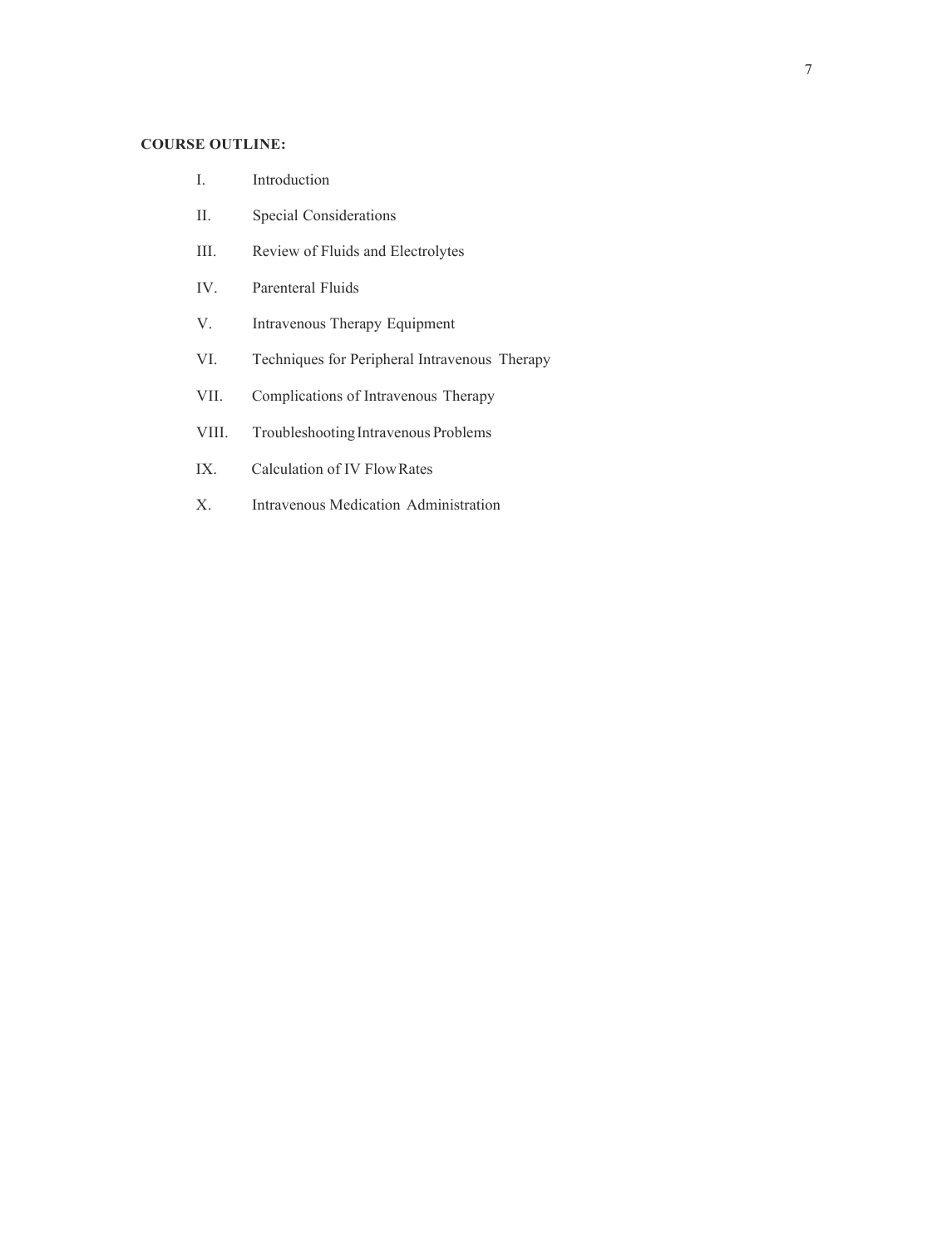# **COURSE OUTLINE:**

- I. Introduction
- II. Special Considerations
- III. Review of Fluids and Electrolytes
- IV. Parenteral Fluids
- V. Intravenous Therapy Equipment
- VI. Techniques for Peripheral Intravenous Therapy
- VII. Complications of Intravenous Therapy
- VIII. Troubleshooting Intravenous Problems
- IX. Calculation of IV FlowRates
- X. Intravenous Medication Administration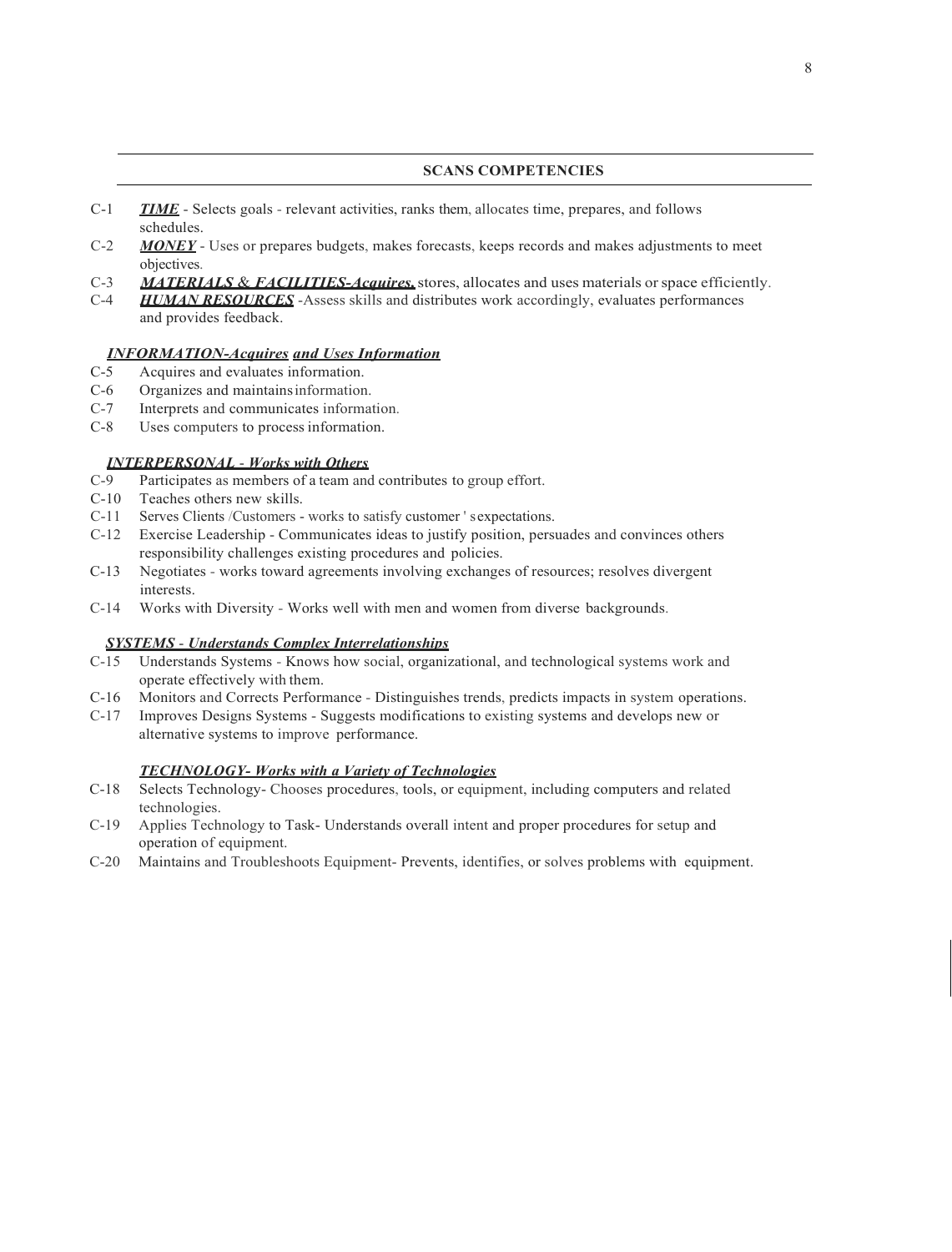### **SCANS COMPETENCIES**

- C-1 *TIME* Selects goals relevant activities, ranks them, allocates time, prepares, and follows schedules.
- C-2 *MONEY* Uses or prepares budgets, makes forecasts, keeps records and makes adjustments to meet objectives.
- C-3 *MATERIALS* & *FACILITIES-Acquires,*stores, allocates and uses materials orspace efficiently.
- C-4 *HUMAN RESOURCES* -Assess skills and distributes work accordingly, evaluates performances and provides feedback.

## *INFORMATION-Acquires and Uses Information*

- C-5 Acquires and evaluates information.
- C-6 Organizes and maintainsinformation.
- C-7 Interprets and communicates information.
- C-8 Uses computers to process information.

# *INTERPERSONAL - Works with Others*<br>C-9 Participates as members of a team and

- Participates as members of a team and contributes to group effort.
- C-10 Teaches others new skills.<br>C-11 Serves Clients / Customers -
- Serves Clients /Customers works to satisfy customer ' s expectations.
- C-12 Exercise Leadership Communicates ideas to justify position, persuades and convinces others responsibility challenges existing procedures and policies.
- C-13 Negotiates works toward agreements involving exchanges of resources; resolves divergent interests.
- C-14 Works with Diversity Works well with men and women from diverse backgrounds.

# *SYSTEMS* - *Understands Complex Interrelationships*

- C-15 Understands Systems Knows how social, organizational, and technological systems work and operate effectively with them.
- C-16 Monitors and Corrects Performance Distinguishes trends, predicts impacts in system operations.
- C-17 Improves Designs Systems Suggests modifications to existing systems and develops new or alternative systems to improve performance.

### *TECHNOLOGY- Works with a Variety of Technologies*

- C-18 Selects Technology- Chooses procedures, tools, or equipment, including computers and related technologies.
- C-19 Applies Technology to Task- Understands overall intent and proper procedures for setup and operation of equipment.
- C-20 Maintains and Troubleshoots Equipment- Prevents, identifies, or solves problems with equipment.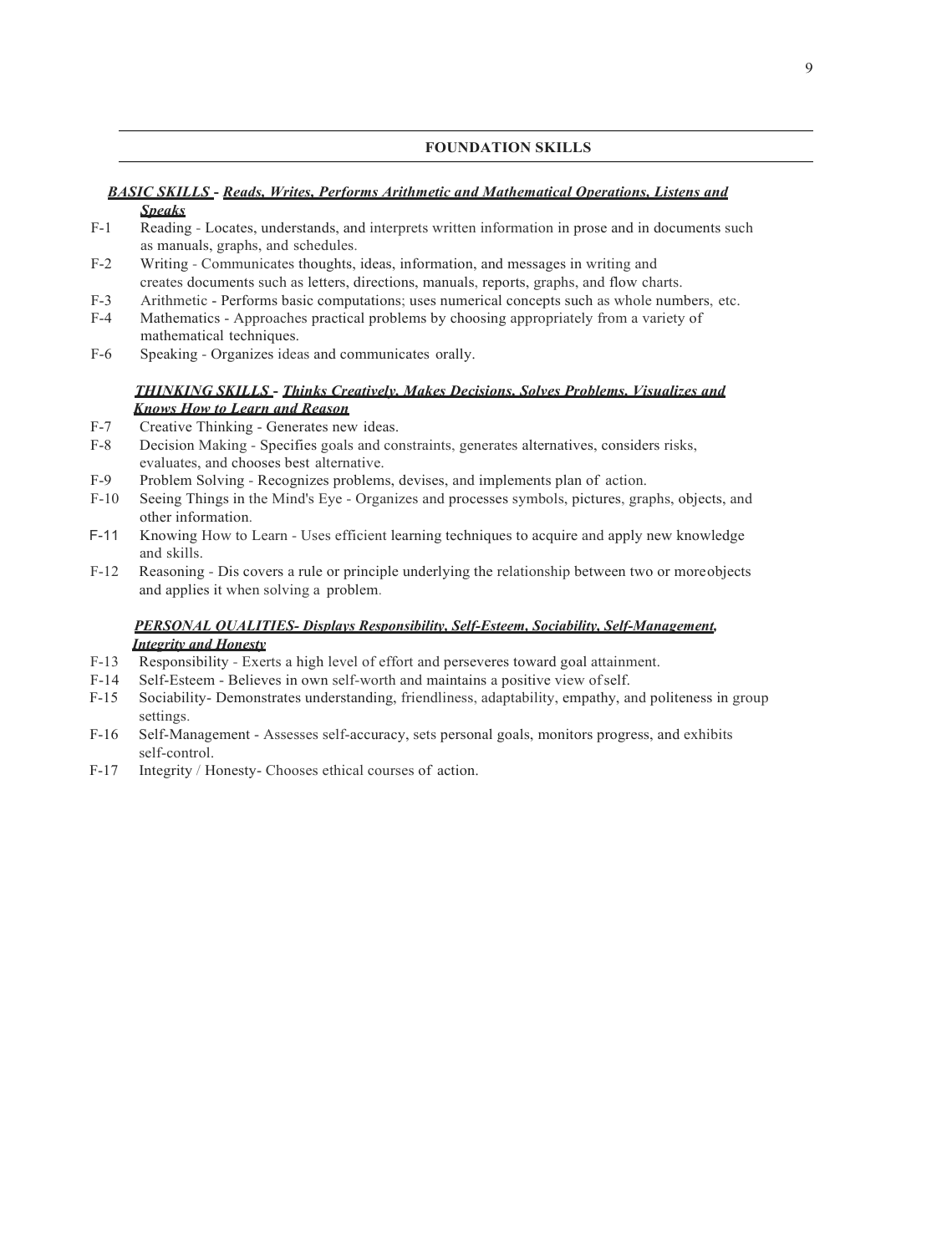### **FOUNDATION SKILLS**

### *BASIC SKILLS* **-** *Reads, Writes, Performs Arithmetic and Mathematical Operations, Listens and Speaks*

- F-1 Reading Locates, understands, and interprets written information in prose and in documents such as manuals, graphs, and schedules.
- F-2 Writing Communicates thoughts, ideas, information, and messages in writing and creates documents such as letters, directions, manuals, reports, graphs, and flow charts.
- F-3 Arithmetic Performs basic computations; uses numerical concepts such as whole numbers, etc.
- F-4 Mathematics Approaches practical problems by choosing appropriately from a variety of mathematical techniques.
- F-6 Speaking Organizes ideas and communicates orally.

# *THINKING SKILLS* **-** *Thinks Creatively, Makes Decisions, Solves Problems, Visualizes and Knows How to Learn and Reason*

- F-7 Creative Thinking Generates new ideas.
- F-8 Decision Making Specifies goals and constraints, generates alternatives, considers risks, evaluates, and chooses best alternative.
- F-9 Problem Solving Recognizes problems, devises, and implements plan of action.
- F-10 Seeing Things in the Mind's Eye Organizes and processes symbols, pictures, graphs, objects, and other information.
- F-11 Knowing How to Learn Uses efficient learning techniques to acquire and apply new knowledge and skills.
- F-12 Reasoning Dis covers a rule or principle underlying the relationship between two or moreobjects and applies it when solving a problem.

## *PERSONAL QUALITIES- Displays Responsibility, Self-Esteem, Sociability, Self-Management, Integrity and Honesty*

- F-13 Responsibility Exerts a high level of effort and perseveres toward goal attainment.
- F-14 Self-Esteem Believes in own self-worth and maintains a positive view ofself.
- F-15 Sociability- Demonstrates understanding, friendliness, adaptability, empathy, and politeness in group settings.
- F-16 Self-Management Assesses self-accuracy, sets personal goals, monitors progress, and exhibits self-control.
- F-17 Integrity / Honesty- Chooses ethical courses of action.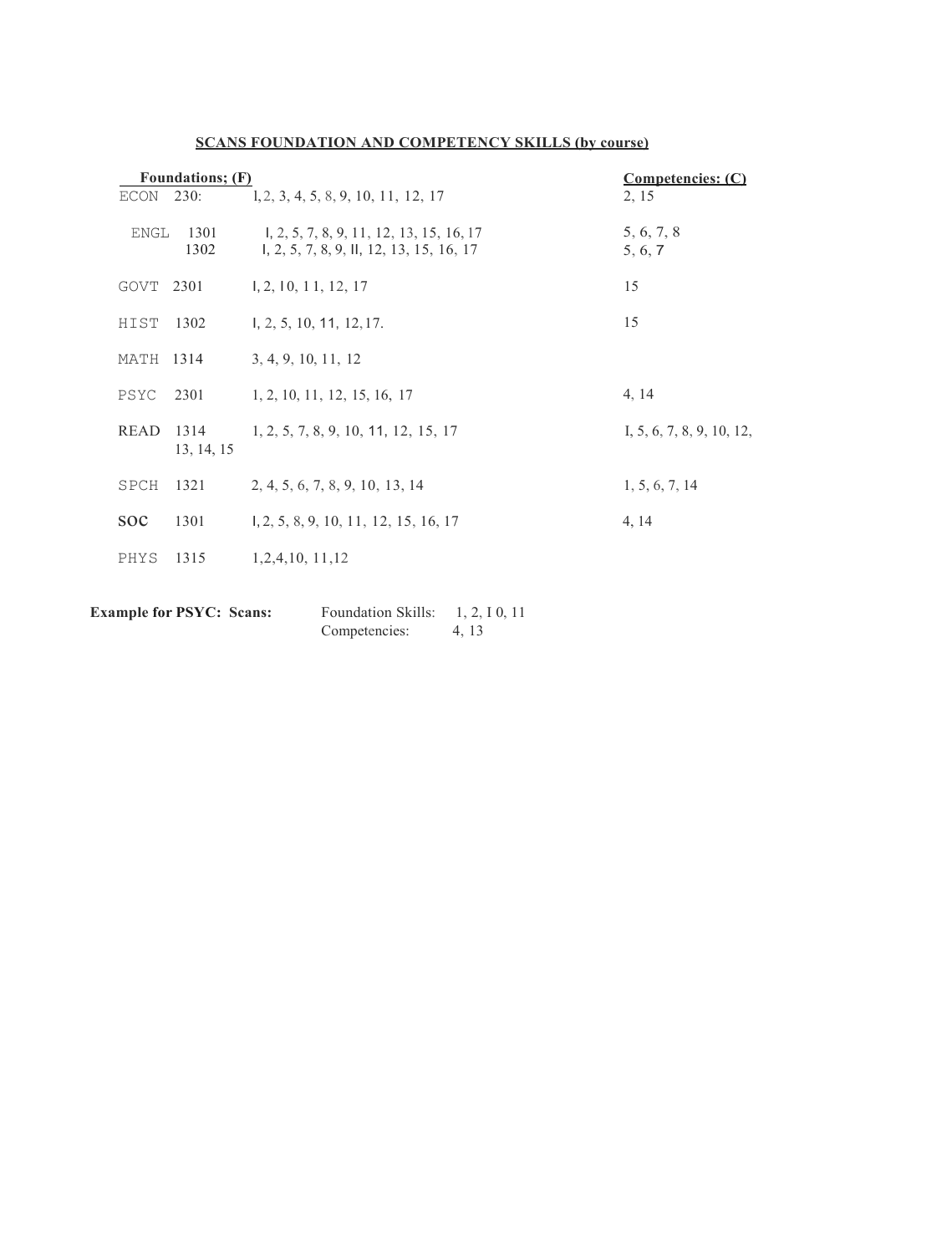| Foundations; (F) |                    |                                                                                      | Competencies: (C)            |
|------------------|--------------------|--------------------------------------------------------------------------------------|------------------------------|
| ECON             | 230:               | 1, 2, 3, 4, 5, 8, 9, 10, 11, 12, 17                                                  | 2, 15                        |
| ENGL             | 1301<br>1302       | 1, 2, 5, 7, 8, 9, 11, 12, 13, 15, 16, 17<br>1, 2, 5, 7, 8, 9, 11, 12, 13, 15, 16, 17 | 5, 6, 7, 8<br>5, 6, 7        |
| GOVT 2301        |                    | 1, 2, 10, 11, 12, 17                                                                 | 15                           |
| HIST             | 1302               | 1, 2, 5, 10, 11, 12, 17.                                                             | 15                           |
| MATH             | 1314               | 3, 4, 9, 10, 11, 12                                                                  |                              |
| PSYC             | 2301               | 1, 2, 10, 11, 12, 15, 16, 17                                                         | 4, 14                        |
| READ             | 1314<br>13, 14, 15 | 1, 2, 5, 7, 8, 9, 10, 11, 12, 15, 17                                                 | I, $5, 6, 7, 8, 9, 10, 12$ , |
| SPCH             | 1321               | 2, 4, 5, 6, 7, 8, 9, 10, 13, 14                                                      | 1, 5, 6, 7, 14               |
| <b>SOC</b>       | 1301               | 1, 2, 5, 8, 9, 10, 11, 12, 15, 16, 17                                                | 4, 14                        |
| PHYS             | 1315               | 1,2,4,10, 11,12                                                                      |                              |

# **SCANS FOUNDATION AND COMPETENCY SKILLS (by course)**

**Example for PSYC: Scans:** Foundation Skills: 1, 2, I 0, 11<br>Competencies: 4, 13 Competencies: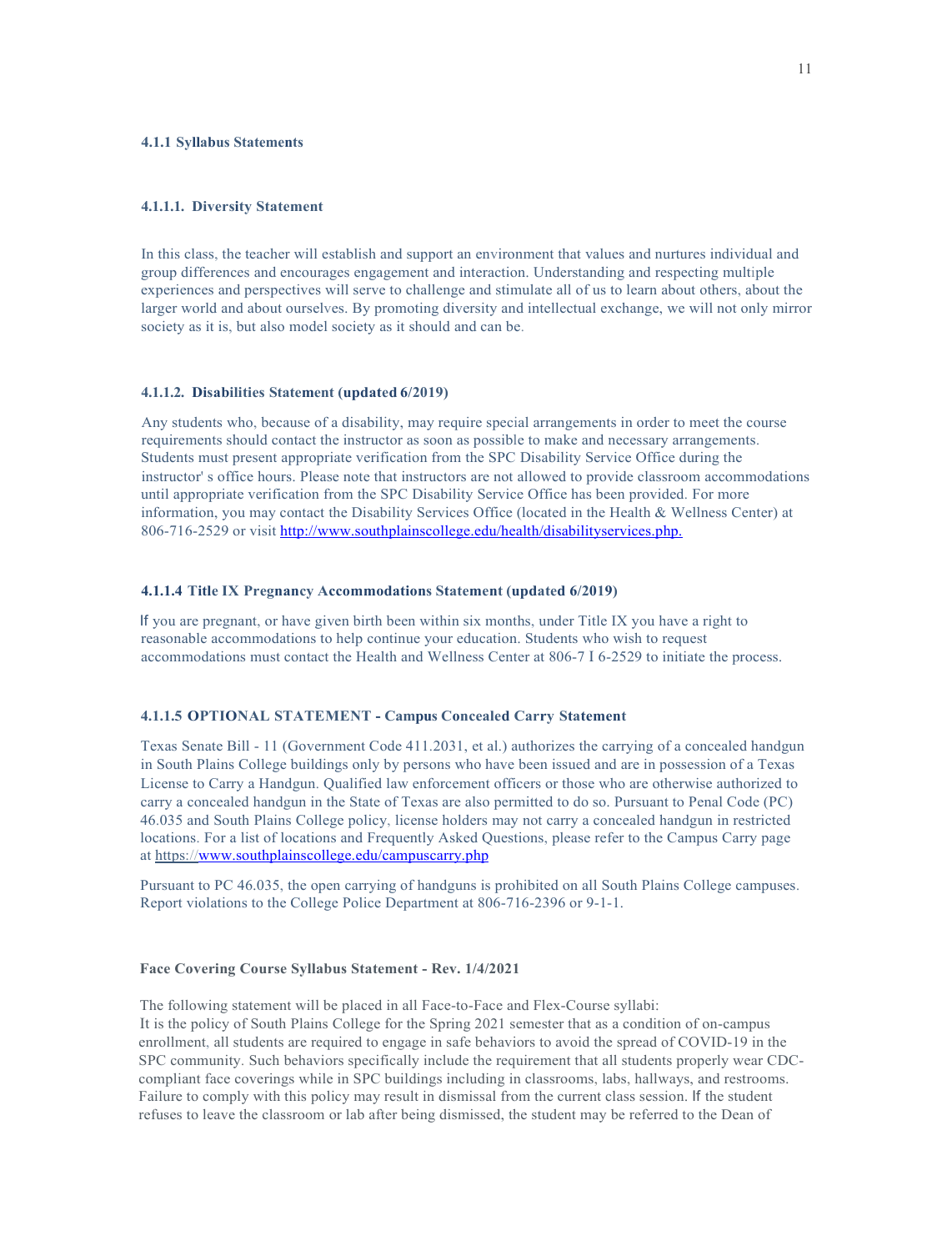### **4.1.1 Syllabus Statements**

### **4.1.1.1. Diversity Statement**

In this class, the teacher will establish and support an environment that values and nurtures individual and group differences and encourages engagement and interaction. Understanding and respecting multiple experiences and perspectives will serve to challenge and stimulate all of us to learn about others, about the larger world and about ourselves. By promoting diversity and intellectual exchange, we will not only mirror society as it is, but also model society as it should and can be.

### **4.1.1.2. Disabilities Statement (updated 6/2019)**

Any students who, because of a disability, may require special arrangements in order to meet the course requirements should contact the instructor as soon as possible to make and necessary arrangements. Students must present appropriate verification from the SPC Disability Service Office during the instructor' s office hours. Please note that instructors are not allowed to provide classroom accommodations until appropriate verification from the SPC Disability Service Office has been provided. For more information, you may contact the Disability Services Office (located in the Health & Wellness Center) at 806-716-2529 or visit<http://www.southplainscollege.edu/health/disabilityservices.php.>

### **4.1.1.4 Title IX Pregnancy Accommodations Statement (updated 6/2019)**

If you are pregnant, or have given birth been within six months, under Title IX you have a right to reasonable accommodations to help continue your education. Students who wish to request accommodations must contact the Health and Wellness Center at 806-7 I 6-2529 to initiate the process.

### **4.1.1.5 OPTIONAL STATEMENT - Campus Concealed Carry Statement**

Texas Senate Bill - 11 (Government Code 411.2031, et al.) authorizes the carrying of a concealed handgun in South Plains College buildings only by persons who have been issued and are in possession of a Texas License to Carry a Handgun. Qualified law enforcement officers or those who are otherwise authorized to carry a concealed handgun in the State of Texas are also permitted to do so. Pursuant to Penal Code (PC) 46.035 and South Plains College policy, license holders may not carry a concealed handgun in restricted locations. For a list of locations and Frequently Asked Questions, please refer to the Campus Carry page at https:/[/www.southplainscollege.edu/campuscarry.php](http://www.southplainscollege.edu/campuscarry.php)

Pursuant to PC 46.035, the open carrying of handguns is prohibited on all South Plains College campuses. Report violations to the College Police Department at 806-716-2396 or 9-1-1.

#### **Face Covering Course Syllabus Statement - Rev. 1/4/2021**

The following statement will be placed in all Face-to-Face and Flex-Course syllabi:

It is the policy of South Plains College for the Spring 2021 semester that as a condition of on-campus enrollment, all students are required to engage in safe behaviors to avoid the spread of COVID-19 in the SPC community. Such behaviors specifically include the requirement that all students properly wear CDCcompliant face coverings while in SPC buildings including in classrooms, labs, hallways, and restrooms. Failure to comply with this policy may result in dismissal from the current class session. If the student refuses to leave the classroom or lab after being dismissed, the student may be referred to the Dean of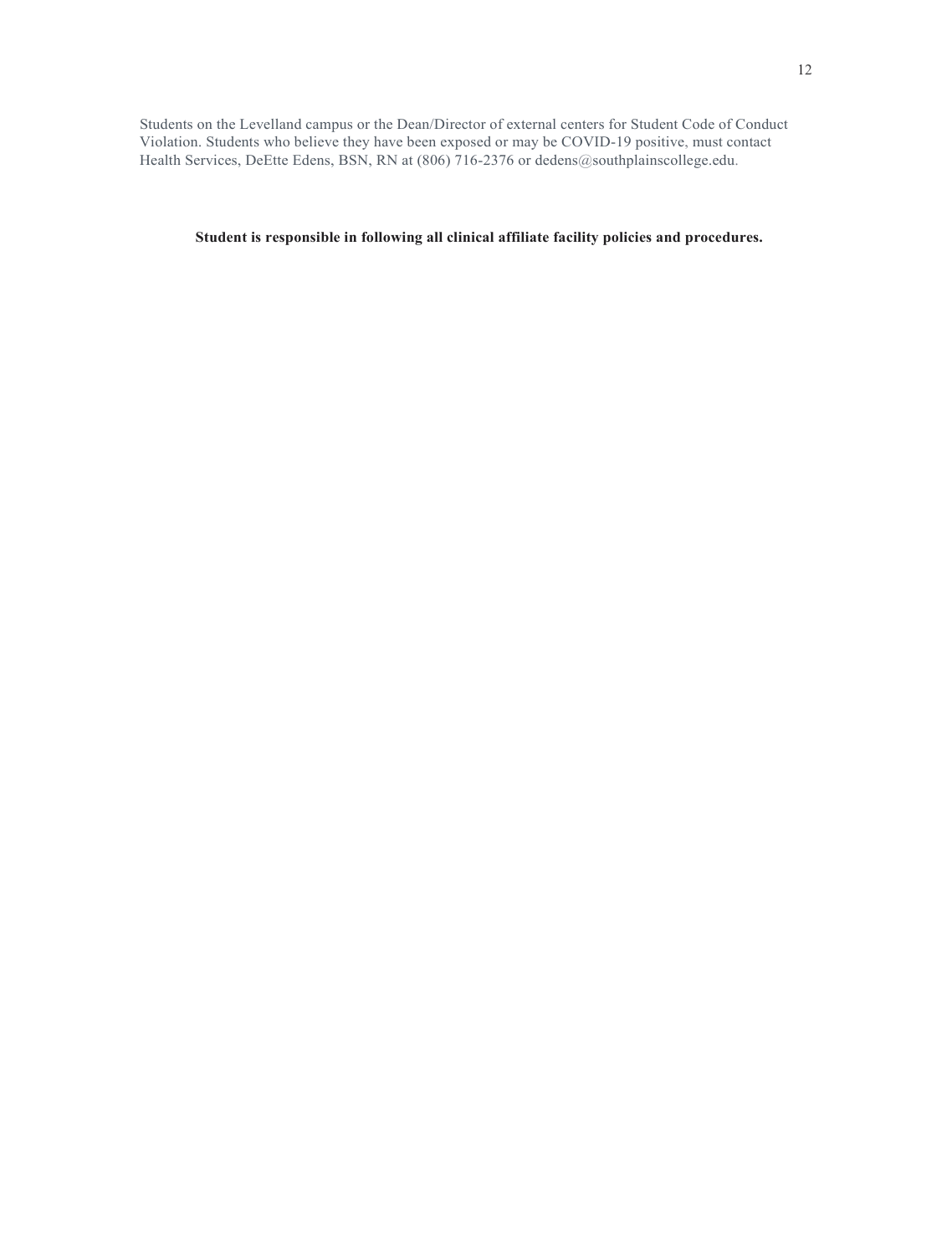Students on the Levelland campus or the Dean/Director of external centers for Student Code of Conduct Violation. Students who believe they have been exposed or may be COVID-19 positive, must contact Health Services, DeEtte Edens, BSN, RN at (806) 716-2376 or dedens@southplainscollege.edu.

**Student is responsible in following all clinical affiliate facility policies and procedures.**